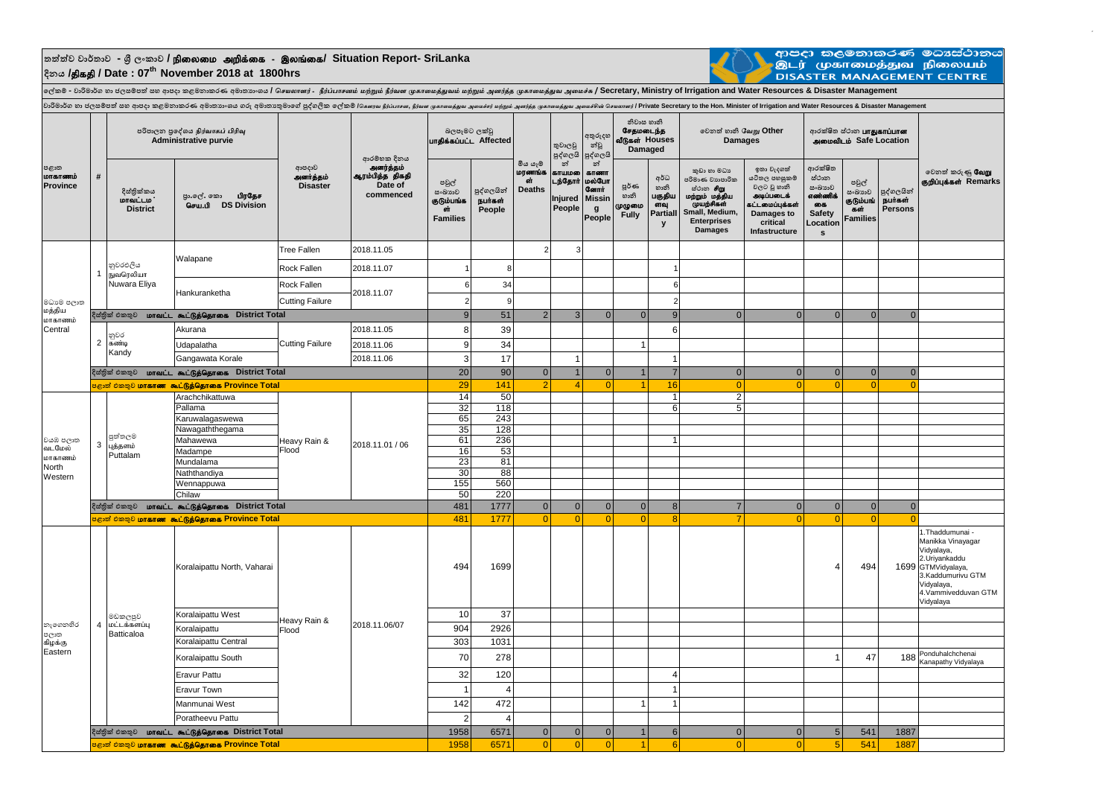## **තත්ත්ව වාර්තාව - ශ්රී ලංකාව /** epiyik mwpf;if - ,yq;if**/ Situation Report- SriLanka දිනය /**jpfjp **/ Date : 07th November 2018 at 1800hrs**



ආපදා කලමනාකරණ මධාාස්ථානය<br>.<br>DISASTER MANAGEMENT CENTRE

 $\overline{a}$ 

ு அடு உப்போடு பிரிப்பில் அடி பிரிப்பில் அடிக்கும் பிரிப்பில் பிரிப்பில் பிரிப்பில் பிரிப்பில் பிரிப்பில் அவரத்து பிரிப்பில் அவரத்துவ அவச்சு / Secretary, Ministry of Irrigation and Water Resources & Disaster Management

| පළාත<br>மாகாணம்<br>Province            | $\#$           | පරිපාලන පුදේශය நிர்வாகப் பிரிவு<br><b>Administrative purvie</b> |                                                                              |                                        | ආරම්භක දිනය                                          | බලපෑමට ලක්වූ<br>பாதிக்கப்பட்ட Affected                 |                                 |                                           | තුවාලවු<br>පුද්ගලයි                                 | අතුරුදහ<br>න්වූ<br>පුද්ගලයි                                            | නිවාස හානි<br>சேதமடைந்த<br>வீடுகள் Houses<br><b>Damaged</b> |                                                | වෙනත් හානි வேறு Other<br><b>Damages</b>                                                                                                |                                                                                                                        | ආරක්ෂිත ස්ථාන <b>பாதுகாப்பான</b><br>அமைவிடம் Safe Location                               |                                                        |                                         |                                                                                                                                                                   |
|----------------------------------------|----------------|-----------------------------------------------------------------|------------------------------------------------------------------------------|----------------------------------------|------------------------------------------------------|--------------------------------------------------------|---------------------------------|-------------------------------------------|-----------------------------------------------------|------------------------------------------------------------------------|-------------------------------------------------------------|------------------------------------------------|----------------------------------------------------------------------------------------------------------------------------------------|------------------------------------------------------------------------------------------------------------------------|------------------------------------------------------------------------------------------|--------------------------------------------------------|-----------------------------------------|-------------------------------------------------------------------------------------------------------------------------------------------------------------------|
|                                        |                | දිස්තික්කය<br><b>மாவட்டம</b> ்<br><b>District</b>               | පුා.ලේ. කො <b>பிரதேச</b><br>செய.பி DS Division                               | ආපදාව<br>அனர்த்தம்<br><b>Disaster</b>  | அனர்த்தம்<br>ஆரம்பித்த திகதி<br>Date of<br>commenced | පවුල්<br>සංඛාගව<br>குடும்பங்க<br>ள்<br><b>Families</b> | පුද්ගලයින්<br>நபர்கள்<br>People | මිය යෑම<br>மரணங்க<br>cit<br><b>Deaths</b> | න්<br>காயமலை<br>டந்தோர்<br><b>Injured</b><br>People | න්<br>காணா<br>மல்போ<br>ணோர்<br><b>Missin</b><br>$\mathbf{g}$<br>People | <b>පූර්</b> ණ<br>හානි<br>முழுமை<br><b>Fully</b>             | අර්ධ<br>හානි<br>பகுதிய<br>ளவு<br>Partiall<br>y | කුඩා හා මධා<br>පරිමාණ වාහපාරික<br>ස්ථාන சிறு<br>மற்றும் மத்திய<br>முயற்சிகள்<br>Small, Medium,<br><b>Enterprises</b><br><b>Damages</b> | ඉතා වැදගත්<br>යටිතල පහසුකම්<br>වලට වූ හානි<br>அடிப்படைக்<br>கட்டமைப்புக்கள்<br>Damages to<br>critical<br>Infastructure | ආරක්ෂිත<br>ස්ථාන<br>සංඛාගව<br>எண்ணிக்<br>கை<br><b>Safety</b><br>Location<br>$\mathbf{s}$ | පවුල්<br>සංඛාාව<br>குடும்பங்<br>கள்<br><b>Families</b> | පුද්ගලයින්<br><b>நபர்கள்</b><br>Persons | වෙනත් කරුණු <b>வேறு</b><br>குறிப்புக்கள் Remarks                                                                                                                  |
|                                        |                |                                                                 |                                                                              | <b>Tree Fallen</b>                     | 2018.11.05                                           |                                                        |                                 | $\overline{2}$                            | 3                                                   |                                                                        |                                                             |                                                |                                                                                                                                        |                                                                                                                        |                                                                                          |                                                        |                                         |                                                                                                                                                                   |
| මධාමේ පලාත<br>மத்திய                   |                | නුවරඑලිය                                                        | Walapane                                                                     | <b>Rock Fallen</b>                     | 2018.11.07                                           |                                                        | 8                               |                                           |                                                     |                                                                        |                                                             |                                                |                                                                                                                                        |                                                                                                                        |                                                                                          |                                                        |                                         |                                                                                                                                                                   |
|                                        | $\mathbf{1}$   | நுவரெலியா<br>Nuwara Eliya                                       |                                                                              | Rock Fallen                            |                                                      | $6 \overline{6}$                                       | 34                              |                                           |                                                     |                                                                        |                                                             | 6                                              |                                                                                                                                        |                                                                                                                        |                                                                                          |                                                        |                                         |                                                                                                                                                                   |
|                                        |                |                                                                 | Hankuranketha                                                                | 2018.11.07                             |                                                      | $\overline{2}$                                         | 9                               |                                           |                                                     |                                                                        |                                                             | 2                                              |                                                                                                                                        |                                                                                                                        |                                                                                          |                                                        |                                         |                                                                                                                                                                   |
|                                        |                |                                                                 | දිස්තික් එකතුව <b>மாவட்ட கூட்டுத்தொகை</b> District Total                     | <b>Cutting Failure</b>                 |                                                      | 9                                                      | 51                              | $\overline{2}$                            | 3                                                   | $\mathbf{0}$                                                           | 0                                                           | 9                                              | $\Omega$                                                                                                                               | $\Omega$                                                                                                               | 0                                                                                        | $\Omega$                                               | $\Omega$                                |                                                                                                                                                                   |
| மாகாணம்                                |                |                                                                 |                                                                              | <b>Cutting Failure</b>                 |                                                      |                                                        |                                 |                                           |                                                     |                                                                        |                                                             |                                                |                                                                                                                                        |                                                                                                                        |                                                                                          |                                                        |                                         |                                                                                                                                                                   |
| Central                                | $\overline{2}$ | නුවර<br>கண்டி<br>Kandy                                          | Akurana                                                                      |                                        | 2018.11.05                                           | 8                                                      | 39                              |                                           |                                                     |                                                                        |                                                             | 6                                              |                                                                                                                                        |                                                                                                                        |                                                                                          |                                                        |                                         |                                                                                                                                                                   |
|                                        |                |                                                                 | Udapalatha                                                                   |                                        | 2018.11.06                                           | 9                                                      | 34                              |                                           |                                                     |                                                                        |                                                             |                                                |                                                                                                                                        |                                                                                                                        |                                                                                          |                                                        |                                         |                                                                                                                                                                   |
|                                        |                |                                                                 | Gangawata Korale                                                             |                                        | 2018.11.06                                           | $\mathbf{3}$                                           | 17                              |                                           | -1                                                  |                                                                        |                                                             | $\mathbf{1}$                                   |                                                                                                                                        |                                                                                                                        |                                                                                          |                                                        |                                         |                                                                                                                                                                   |
|                                        |                |                                                                 | දිස්තික් එකතුව <b>மாவட்ட கூட்டுத்தொகை</b> District Total                     |                                        |                                                      | 20 <sup>1</sup>                                        | 90                              | $\Omega$<br>$\mathcal{D}$                 | $\overline{1}$<br>$\mathbf{A}$                      | $\overline{0}$<br>$\Omega$                                             |                                                             | $\overline{7}$                                 | $\Omega$                                                                                                                               | $\overline{0}$<br>$\Omega$                                                                                             | 0 <br>$\Omega$                                                                           | $\Omega$                                               | $\Omega$                                |                                                                                                                                                                   |
|                                        | 3              |                                                                 | <mark>்கும் சிலை மாகாண கூட்டுத்தொகை Province Total</mark><br>Arachchikattuwa | Heavy Rain &<br>Flood                  |                                                      | 29<br>14                                               | 141<br>50                       |                                           |                                                     |                                                                        |                                                             | 16<br>$\mathbf{1}$                             | $\Omega$<br>2 <sup>1</sup>                                                                                                             |                                                                                                                        |                                                                                          | $\Omega$                                               | $\Omega$                                |                                                                                                                                                                   |
|                                        |                |                                                                 | Pallama                                                                      |                                        |                                                      | 32                                                     | 118                             |                                           |                                                     |                                                                        |                                                             | 6                                              | 5 <sub>l</sub>                                                                                                                         |                                                                                                                        |                                                                                          |                                                        |                                         |                                                                                                                                                                   |
|                                        |                |                                                                 | Karuwalagaswewa                                                              |                                        |                                                      | 65                                                     | 243                             |                                           |                                                     |                                                                        |                                                             |                                                |                                                                                                                                        |                                                                                                                        |                                                                                          |                                                        |                                         |                                                                                                                                                                   |
|                                        |                |                                                                 | Nawagaththegama                                                              |                                        | 2018.11.01 / 06                                      | 35                                                     | 128                             |                                           |                                                     |                                                                        |                                                             |                                                |                                                                                                                                        |                                                                                                                        |                                                                                          |                                                        |                                         |                                                                                                                                                                   |
| වයඹ පලාත                               |                | පුත්තලම<br>புத்தளம்<br>Puttalam                                 | Mahawewa                                                                     |                                        |                                                      | 61                                                     | 236                             |                                           |                                                     |                                                                        |                                                             | $\overline{1}$                                 |                                                                                                                                        |                                                                                                                        |                                                                                          |                                                        |                                         |                                                                                                                                                                   |
| வடமேல்<br>மாகாணம்                      |                |                                                                 | Madampe                                                                      |                                        |                                                      | 16                                                     | 53                              |                                           |                                                     |                                                                        |                                                             |                                                |                                                                                                                                        |                                                                                                                        |                                                                                          |                                                        |                                         |                                                                                                                                                                   |
|                                        |                |                                                                 | Mundalama                                                                    |                                        |                                                      | 23                                                     | 81                              |                                           |                                                     |                                                                        |                                                             |                                                |                                                                                                                                        |                                                                                                                        |                                                                                          |                                                        |                                         |                                                                                                                                                                   |
| North<br>Western                       |                |                                                                 | Naththandiya                                                                 |                                        |                                                      | 30                                                     | 88                              |                                           |                                                     |                                                                        |                                                             |                                                |                                                                                                                                        |                                                                                                                        |                                                                                          |                                                        |                                         |                                                                                                                                                                   |
|                                        |                |                                                                 | Wennappuwa                                                                   |                                        |                                                      | 155                                                    | 560                             |                                           |                                                     |                                                                        |                                                             |                                                |                                                                                                                                        |                                                                                                                        |                                                                                          |                                                        |                                         |                                                                                                                                                                   |
|                                        |                | Chilaw                                                          |                                                                              |                                        | 50<br>481                                            | 220                                                    |                                 |                                           |                                                     |                                                                        |                                                             |                                                |                                                                                                                                        |                                                                                                                        |                                                                                          |                                                        |                                         |                                                                                                                                                                   |
|                                        |                | දිස්තික් එකතුව <b>மாவட்ட கூட்டுத்தொகை District Total</b>        |                                                                              |                                        |                                                      |                                                        | 1777                            | $\overline{0}$                            | $\mathbf{0}$                                        | $\overline{0}$                                                         | 0                                                           | 8 <sup>1</sup>                                 | $\overline{7}$                                                                                                                         | 0                                                                                                                      | 0                                                                                        | $\overline{0}$                                         | $\overline{0}$                          |                                                                                                                                                                   |
|                                        |                |                                                                 | <mark>் குறி பிறை மாகாண கூட்டுத்தொகை Province Total</mark>                   |                                        |                                                      | 481                                                    | 1777                            | $\Omega$                                  | $\Omega$                                            | $\Omega$                                                               | $\Omega$                                                    | 8                                              | $\overline{7}$                                                                                                                         | $\Omega$                                                                                                               | 0                                                                                        | $\Omega$                                               | $\Omega$                                |                                                                                                                                                                   |
| නැගෙනහිර<br>පලාත<br>கிழக்கு<br>Eastern | $\overline{4}$ | මඩකලපුව<br>மட்டக்களப்பு<br>Batticaloa                           | Koralaipattu North, Vaharai                                                  | Heavy Rain &<br>2018.11.06/07<br>Flood |                                                      | 494                                                    | 1699                            |                                           |                                                     |                                                                        |                                                             |                                                |                                                                                                                                        |                                                                                                                        |                                                                                          | 494                                                    |                                         | 1. Thaddumunai -<br>Manikka Vinayagar<br>Vidyalaya,<br>2.Uriyankaddu<br>1699 GTMVidyalaya,<br>3.Kaddumurivu GTM<br>Vidyalaya,<br>4.Vammivedduvan GTM<br>Vidyalaya |
|                                        |                |                                                                 | Koralaipattu West                                                            |                                        |                                                      | 10                                                     | 37                              |                                           |                                                     |                                                                        |                                                             |                                                |                                                                                                                                        |                                                                                                                        |                                                                                          |                                                        |                                         |                                                                                                                                                                   |
|                                        |                |                                                                 | Koralaipattu                                                                 |                                        |                                                      | 904                                                    | 2926                            |                                           |                                                     |                                                                        |                                                             |                                                |                                                                                                                                        |                                                                                                                        |                                                                                          |                                                        |                                         |                                                                                                                                                                   |
|                                        |                |                                                                 | Koralaipattu Central                                                         |                                        |                                                      | 303                                                    | 1031                            |                                           |                                                     |                                                                        |                                                             |                                                |                                                                                                                                        |                                                                                                                        |                                                                                          |                                                        |                                         |                                                                                                                                                                   |
|                                        |                |                                                                 | Koralaipattu South                                                           |                                        |                                                      | 70                                                     | 278                             |                                           |                                                     |                                                                        |                                                             |                                                |                                                                                                                                        |                                                                                                                        |                                                                                          | 47                                                     | 188                                     | Ponduhalchchenai<br>Kanapathy Vidyalaya                                                                                                                           |
|                                        |                |                                                                 | <b>Eravur Pattu</b>                                                          |                                        |                                                      | 32                                                     | 120                             |                                           |                                                     |                                                                        |                                                             | 4                                              |                                                                                                                                        |                                                                                                                        |                                                                                          |                                                        |                                         |                                                                                                                                                                   |
|                                        |                |                                                                 | Eravur Town                                                                  |                                        |                                                      | $\overline{1}$                                         | $\overline{4}$                  |                                           |                                                     |                                                                        |                                                             | $\overline{1}$                                 |                                                                                                                                        |                                                                                                                        |                                                                                          |                                                        |                                         |                                                                                                                                                                   |
|                                        |                |                                                                 | Manmunai West                                                                |                                        |                                                      | 142                                                    | 472                             |                                           |                                                     |                                                                        | 1                                                           | $\mathbf{1}$                                   |                                                                                                                                        |                                                                                                                        |                                                                                          |                                                        |                                         |                                                                                                                                                                   |
|                                        |                |                                                                 | Poratheevu Pattu                                                             |                                        |                                                      | $\overline{2}$                                         | $\overline{4}$                  |                                           |                                                     |                                                                        |                                                             |                                                |                                                                                                                                        |                                                                                                                        |                                                                                          |                                                        |                                         |                                                                                                                                                                   |
|                                        |                |                                                                 | දිස්තික් එකතුව <b>IDITAILL கூட்டுத்தொகை District Total</b>                   |                                        |                                                      | 1958                                                   | 6571                            | $\overline{0}$                            | $\mathbf{0}$                                        | $\Omega$                                                               |                                                             | 6 <sup>1</sup>                                 | $\Omega$                                                                                                                               | $\overline{0}$                                                                                                         | 5 <sup>1</sup>                                                                           | 541                                                    | 1887                                    |                                                                                                                                                                   |
|                                        |                |                                                                 | <mark>පළාත් එකතුව <b>மாகாண</b> கூட்டுத்தொகை Province Total</mark>            |                                        |                                                      | 1958                                                   | 6571                            | $\Omega$                                  | $\Omega$                                            | $\overline{0}$                                                         | $\vert$ 1                                                   | 6 <sup>1</sup>                                 | $\Omega$                                                                                                                               | $\Omega$                                                                                                               | 5 <sup>1</sup>                                                                           | 541                                                    | 1887                                    |                                                                                                                                                                   |
|                                        |                |                                                                 |                                                                              |                                        |                                                      |                                                        |                                 |                                           |                                                     |                                                                        |                                                             |                                                |                                                                                                                                        |                                                                                                                        |                                                                                          |                                                        |                                         |                                                                                                                                                                   |